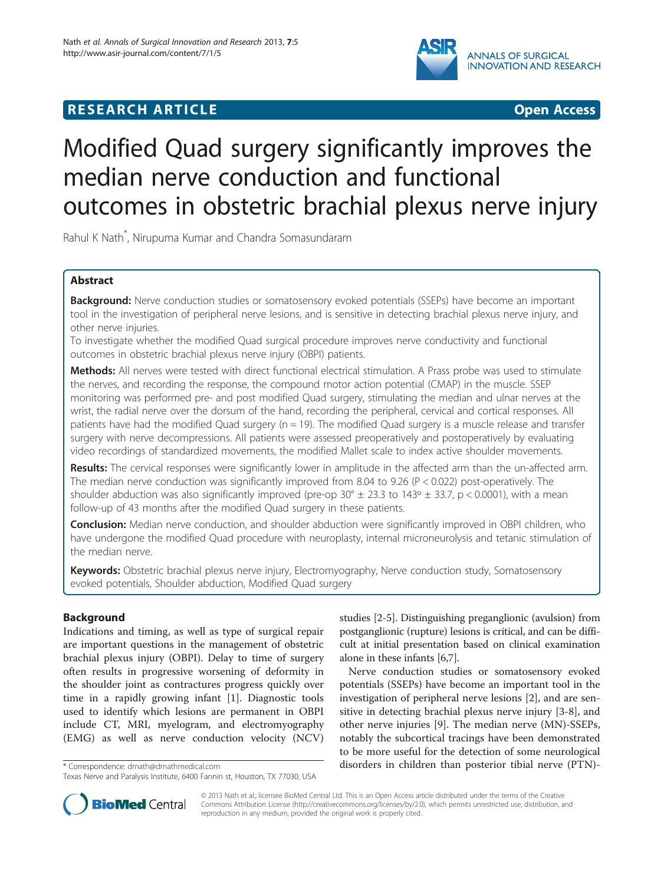

## **RESEARCH ARTICLE Example 2018 12:00 Department 2018 12:00 Department 2018 12:00 Department 2018 12:00 Department 2018 12:00 Department 2018 12:00 Department 2018 12:00 Department 2018 12:00 Department 2018 12:00 Departm**

# Modified Quad surgery significantly improves the median nerve conduction and functional outcomes in obstetric brachial plexus nerve injury

Rahul K Nath\* , Nirupuma Kumar and Chandra Somasundaram

## Abstract

**Background:** Nerve conduction studies or somatosensory evoked potentials (SSEPs) have become an important tool in the investigation of peripheral nerve lesions, and is sensitive in detecting brachial plexus nerve injury, and other nerve injuries.

To investigate whether the modified Quad surgical procedure improves nerve conductivity and functional outcomes in obstetric brachial plexus nerve injury (OBPI) patients.

Methods: All nerves were tested with direct functional electrical stimulation. A Prass probe was used to stimulate the nerves, and recording the response, the compound motor action potential (CMAP) in the muscle. SSEP monitoring was performed pre- and post modified Quad surgery, stimulating the median and ulnar nerves at the wrist, the radial nerve over the dorsum of the hand, recording the peripheral, cervical and cortical responses. All patients have had the modified Quad surgery ( $n = 19$ ). The modified Quad surgery is a muscle release and transfer surgery with nerve decompressions. All patients were assessed preoperatively and postoperatively by evaluating video recordings of standardized movements, the modified Mallet scale to index active shoulder movements.

Results: The cervical responses were significantly lower in amplitude in the affected arm than the un-affected arm. The median nerve conduction was significantly improved from 8.04 to 9.26 ( $P < 0.022$ ) post-operatively. The shoulder abduction was also significantly improved (pre-op  $30^{\circ} \pm 23.3$  to  $143^{\circ} \pm 33.7$ , p < 0.0001), with a mean follow-up of 43 months after the modified Quad surgery in these patients.

**Conclusion:** Median nerve conduction, and shoulder abduction were significantly improved in OBPI children, who have undergone the modified Quad procedure with neuroplasty, internal microneurolysis and tetanic stimulation of the median nerve.

Keywords: Obstetric brachial plexus nerve injury, Electromyography, Nerve conduction study, Somatosensory evoked potentials, Shoulder abduction, Modified Quad surgery

## Background

Indications and timing, as well as type of surgical repair are important questions in the management of obstetric brachial plexus injury (OBPI). Delay to time of surgery often results in progressive worsening of deformity in the shoulder joint as contractures progress quickly over time in a rapidly growing infant [[1\]](#page-3-0). Diagnostic tools used to identify which lesions are permanent in OBPI include CT, MRI, myelogram, and electromyography (EMG) as well as nerve conduction velocity (NCV)

studies [\[2](#page-3-0)-[5](#page-3-0)]. Distinguishing preganglionic (avulsion) from postganglionic (rupture) lesions is critical, and can be difficult at initial presentation based on clinical examination alone in these infants [\[6,7](#page-3-0)].

Nerve conduction studies or somatosensory evoked potentials (SSEPs) have become an important tool in the investigation of peripheral nerve lesions [[2](#page-3-0)], and are sensitive in detecting brachial plexus nerve injury [[3-8](#page-3-0)], and other nerve injuries [[9](#page-3-0)]. The median nerve (MN)-SSEPs, notably the subcortical tracings have been demonstrated to be more useful for the detection of some neurological \* Correspondence: [drnath@drnathmedical.com](mailto:drnath@drnathmedical.com) disorders in children than posterior tibial nerve (PTN)-



© 2013 Nath et al.; licensee BioMed Central Ltd. This is an Open Access article distributed under the terms of the Creative Commons Attribution License [\(http://creativecommons.org/licenses/by/2.0\)](http://creativecommons.org/licenses/by/2.0), which permits unrestricted use, distribution, and reproduction in any medium, provided the original work is properly cited.

Texas Nerve and Paralysis Institute, 6400 Fannin st, Houston, TX 77030, USA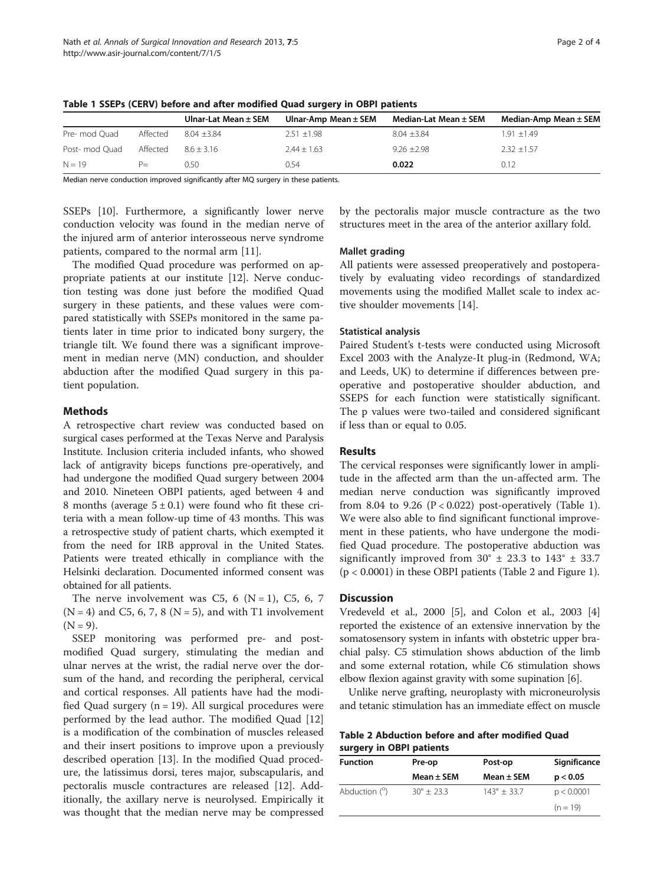|                |          | Ulnar-Lat Mean $\pm$ SEM | Ulnar-Amp Mean $\pm$ SEM | Median-Lat Mean ± SEM | Median-Amp Mean ± SEM |
|----------------|----------|--------------------------|--------------------------|-----------------------|-----------------------|
| Pre- mod Ouad  | Affected | $8.04 + 3.84$            | $2.51 \pm 1.98$          | $8.04 + 3.84$         | $1.91 + 1.49$         |
| Post- mod Quad | Affected | $8.6 + 3.16$             | $2.44 \pm 1.63$          | $9.26 \pm 2.98$       | $2.32 \pm 1.57$       |
| $N = 19$       | PΞ       | 0.50                     | 0.54                     | 0.022                 | 0.12                  |

Table 1 SSEPs (CERV) before and after modified Quad surgery in OBPI patients

Median nerve conduction improved significantly after MQ surgery in these patients.

SSEPs [[10\]](#page-3-0). Furthermore, a significantly lower nerve conduction velocity was found in the median nerve of the injured arm of anterior interosseous nerve syndrome patients, compared to the normal arm [\[11](#page-3-0)].

The modified Quad procedure was performed on appropriate patients at our institute [[12\]](#page-3-0). Nerve conduction testing was done just before the modified Quad surgery in these patients, and these values were compared statistically with SSEPs monitored in the same patients later in time prior to indicated bony surgery, the triangle tilt. We found there was a significant improvement in median nerve (MN) conduction, and shoulder abduction after the modified Quad surgery in this patient population.

#### Methods

A retrospective chart review was conducted based on surgical cases performed at the Texas Nerve and Paralysis Institute. Inclusion criteria included infants, who showed lack of antigravity biceps functions pre-operatively, and had undergone the modified Quad surgery between 2004 and 2010. Nineteen OBPI patients, aged between 4 and 8 months (average  $5 \pm 0.1$ ) were found who fit these criteria with a mean follow-up time of 43 months. This was a retrospective study of patient charts, which exempted it from the need for IRB approval in the United States. Patients were treated ethically in compliance with the Helsinki declaration. Documented informed consent was obtained for all patients.

The nerve involvement was C5, 6 ( $N = 1$ ), C5, 6, 7  $(N = 4)$  and C5, 6, 7, 8 (N = 5), and with T1 involvement  $(N = 9)$ .

SSEP monitoring was performed pre- and postmodified Quad surgery, stimulating the median and ulnar nerves at the wrist, the radial nerve over the dorsum of the hand, and recording the peripheral, cervical and cortical responses. All patients have had the modified Quad surgery ( $n = 19$ ). All surgical procedures were performed by the lead author. The modified Quad [[12](#page-3-0)] is a modification of the combination of muscles released and their insert positions to improve upon a previously described operation [\[13\]](#page-3-0). In the modified Quad procedure, the latissimus dorsi, teres major, subscapularis, and pectoralis muscle contractures are released [\[12](#page-3-0)]. Additionally, the axillary nerve is neurolysed. Empirically it was thought that the median nerve may be compressed by the pectoralis major muscle contracture as the two structures meet in the area of the anterior axillary fold.

#### Mallet grading

All patients were assessed preoperatively and postoperatively by evaluating video recordings of standardized movements using the modified Mallet scale to index active shoulder movements [[14\]](#page-3-0).

#### Statistical analysis

Paired Student's t-tests were conducted using Microsoft Excel 2003 with the Analyze-It plug-in (Redmond, WA; and Leeds, UK) to determine if differences between preoperative and postoperative shoulder abduction, and SSEPS for each function were statistically significant. The p values were two-tailed and considered significant if less than or equal to 0.05.

#### Results

The cervical responses were significantly lower in amplitude in the affected arm than the un-affected arm. The median nerve conduction was significantly improved from 8.04 to 9.26 ( $P < 0.022$ ) post-operatively (Table 1). We were also able to find significant functional improvement in these patients, who have undergone the modified Quad procedure. The postoperative abduction was significantly improved from  $30^{\circ} \pm 23.3$  to  $143^{\circ} \pm 33.7$ (p < 0.0001) in these OBPI patients (Table 2 and Figure [1\)](#page-2-0).

#### **Discussion**

Vredeveld et al., 2000 [[5\]](#page-3-0), and Colon et al., 2003 [[4](#page-3-0)] reported the existence of an extensive innervation by the somatosensory system in infants with obstetric upper brachial palsy. C5 stimulation shows abduction of the limb and some external rotation, while C6 stimulation shows elbow flexion against gravity with some supination [\[6](#page-3-0)].

Unlike nerve grafting, neuroplasty with microneurolysis and tetanic stimulation has an immediate effect on muscle

Table 2 Abduction before and after modified Quad surgery in OBPI patients

| <b>Function</b>      | Pre-op              | Post-op              | Significance |
|----------------------|---------------------|----------------------|--------------|
|                      | Mean $\pm$ SEM      | Mean $\pm$ SEM       | p < 0.05     |
| Abduction $(^\circ)$ | $30^{\circ}$ + 23.3 | $143^{\circ} + 33.7$ | p < 0.0001   |
|                      |                     |                      | $(n = 19)$   |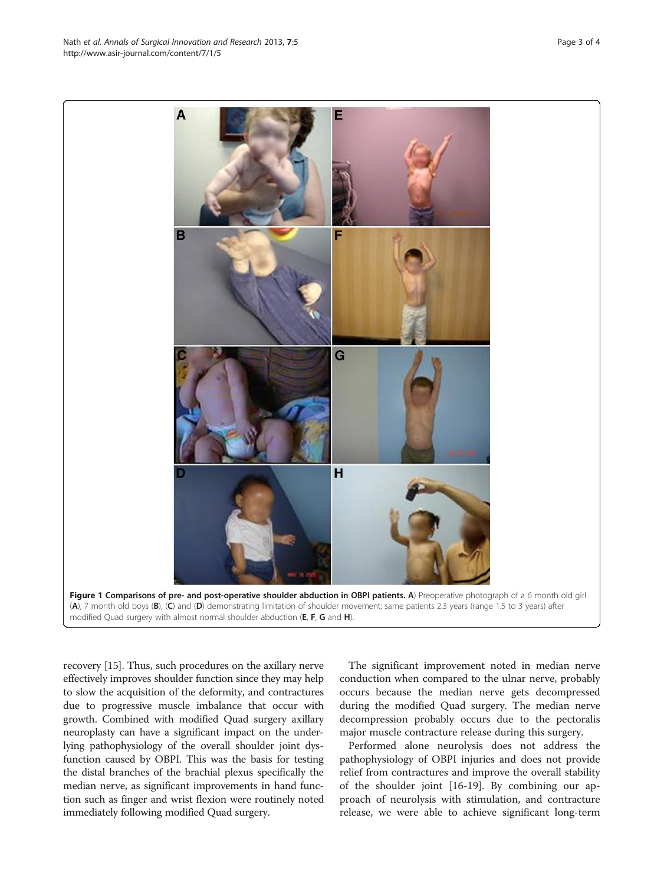recovery [[15](#page-3-0)]. Thus, such procedures on the axillary nerve effectively improves shoulder function since they may help to slow the acquisition of the deformity, and contractures due to progressive muscle imbalance that occur with growth. Combined with modified Quad surgery axillary neuroplasty can have a significant impact on the underlying pathophysiology of the overall shoulder joint dysfunction caused by OBPI. This was the basis for testing the distal branches of the brachial plexus specifically the median nerve, as significant improvements in hand function such as finger and wrist flexion were routinely noted immediately following modified Quad surgery.

The significant improvement noted in median nerve conduction when compared to the ulnar nerve, probably occurs because the median nerve gets decompressed during the modified Quad surgery. The median nerve decompression probably occurs due to the pectoralis major muscle contracture release during this surgery.

Performed alone neurolysis does not address the pathophysiology of OBPI injuries and does not provide relief from contractures and improve the overall stability of the shoulder joint [\[16-19](#page-3-0)]. By combining our approach of neurolysis with stimulation, and contracture release, we were able to achieve significant long-term

<span id="page-2-0"></span>